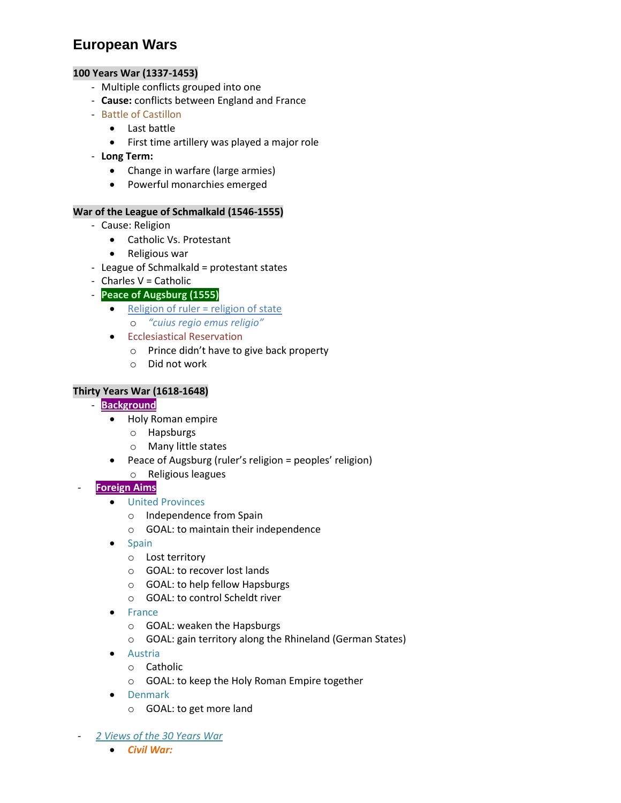# **European Wars**

# **100 Years War (1337-1453)**

- Multiple conflicts grouped into one
- **Cause:** conflicts between England and France
- Battle of Castillon
	- Last battle
		- First time artillery was played a major role
- **Long Term:**
	- Change in warfare (large armies)
	- Powerful monarchies emerged

# **War of the League of Schmalkald (1546-1555)**

- Cause: Religion
	- Catholic Vs. Protestant
	- Religious war
- League of Schmalkald = protestant states
- Charles V = Catholic
- **Peace of Augsburg (1555)**
	- $\bullet$  Religion of ruler = religion of state
		- o *"cuius regio emus religio"*
	- **•** Ecclesiastical Reservation
		- o Prince didn't have to give back property
		- o Did not work

# **Thirty Years War (1618-1648)**

- **Background**
	- Holy Roman empire
		- o Hapsburgs
		- o Many little states
	- Peace of Augsburg (ruler's religion = peoples' religion)
		- o Religious leagues
- **Foreign Aims**
	- **•** United Provinces
		- o Independence from Spain
		- o GOAL: to maintain their independence
	- Spain
		- o Lost territory
		- o GOAL: to recover lost lands
		- o GOAL: to help fellow Hapsburgs
		- o GOAL: to control Scheldt river
	- France
		- o GOAL: weaken the Hapsburgs
		- o GOAL: gain territory along the Rhineland (German States)
	- Austria
		- o Catholic
		- o GOAL: to keep the Holy Roman Empire together
	- Denmark
		- o GOAL: to get more land
- *2 Views of the 30 Years War*
	- *Civil War:*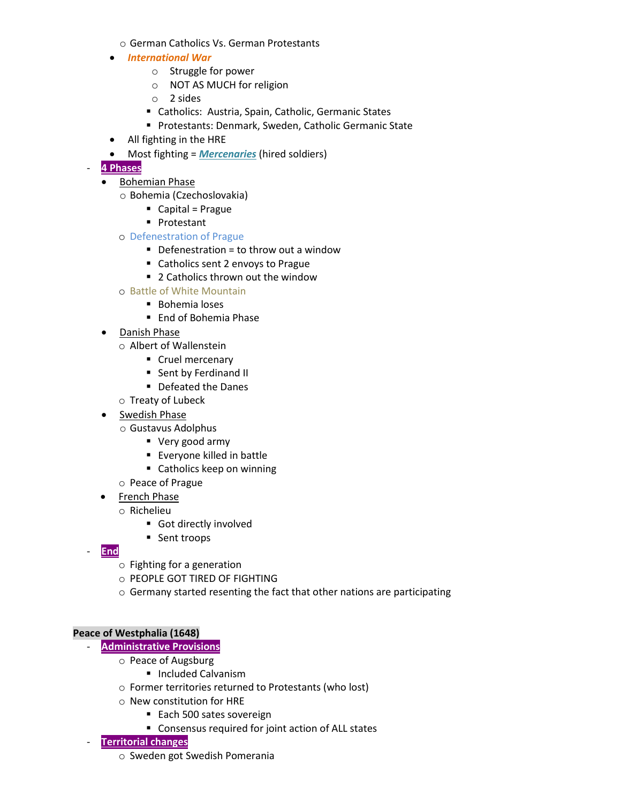- o German Catholics Vs. German Protestants
- *International War*
	- o Struggle for power
	- o NOT AS MUCH for religion
	- o 2 sides
	- Catholics: Austria, Spain, Catholic, Germanic States
	- **Protestants: Denmark, Sweden, Catholic Germanic State**
- All fighting in the HRE
- Most fighting = *Mercenaries* (hired soldiers)

# - **4 Phases**

- Bohemian Phase
	- o Bohemia (Czechoslovakia)
		- $\blacksquare$  Capital = Prague
		- **Protestant**
	- o Defenestration of Prague
		- $\blacksquare$  Defenestration = to throw out a window
		- Catholics sent 2 envoys to Prague
		- 2 Catholics thrown out the window
	- o Battle of White Mountain
		- Bohemia loses
		- End of Bohemia Phase
- Danish Phase
	- o Albert of Wallenstein
		- **Cruel mercenary**
		- **Sent by Ferdinand II**
		- Defeated the Danes
	- o Treaty of Lubeck
- Swedish Phase
	- o Gustavus Adolphus
		- Very good army
		- Everyone killed in battle
		- Catholics keep on winning
	- o Peace of Prague
- French Phase
	- o Richelieu
		- Got directly involved
		- Sent troops
- **End**
	- o Fighting for a generation
	- o PEOPLE GOT TIRED OF FIGHTING
	- o Germany started resenting the fact that other nations are participating

#### **Peace of Westphalia (1648)**

- **Administrative Provisions**
	- o Peace of Augsburg
		- **Included Calvanism**
	- o Former territories returned to Protestants (who lost)
	- o New constitution for HRE
		- Each 500 sates sovereign
		- Consensus required for joint action of ALL states

#### - **Territorial changes**

o Sweden got Swedish Pomerania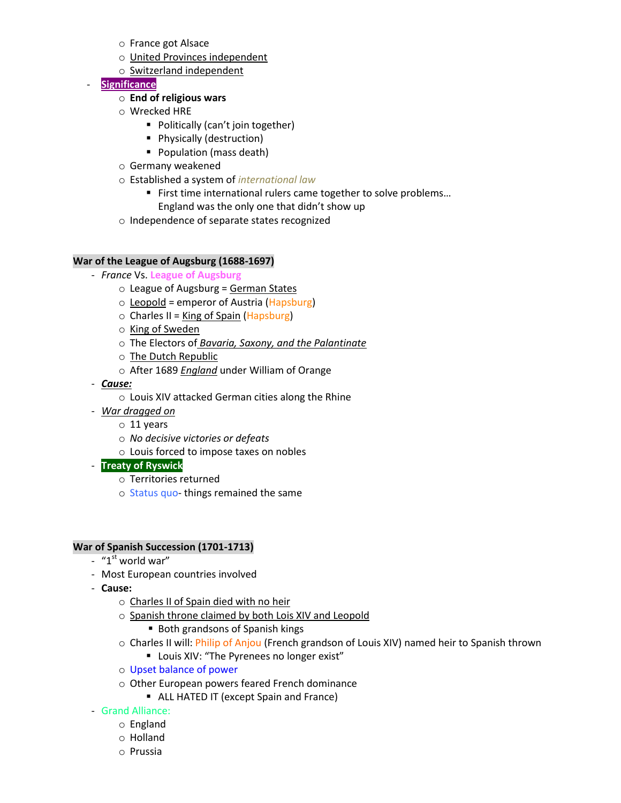- o France got Alsace
- o United Provinces independent
- o Switzerland independent
- **Significance**
	- o **End of religious wars**
	- o Wrecked HRE
		- Politically (can't join together)
		- **Physically (destruction)**
		- **Population (mass death)**
	- o Germany weakened
	- o Established a system of *international law*
		- First time international rulers came together to solve problems...
			- England was the only one that didn't show up
	- o Independence of separate states recognized

#### **War of the League of Augsburg (1688-1697)**

- *France* Vs. **League of Augsburg**
	- $\circ$  League of Augsburg = German States
	- $\circ$  Leopold = emperor of Austria (Hapsburg)
	- $\circ$  Charles II = King of Spain (Hapsburg)
	- o King of Sweden
	- o The Electors of *Bavaria, Saxony, and the Palantinate*
	- o The Dutch Republic
	- o After 1689 *England* under William of Orange
- *Cause:*
	- o Louis XIV attacked German cities along the Rhine
- *War dragged on* 
	- o 11 years
	- o *No decisive victories or defeats*
	- o Louis forced to impose taxes on nobles
- **Treaty of Ryswick**
	- o Territories returned
	- o Status quo- things remained the same

#### **War of Spanish Succession (1701-1713)**

- $-$  "1<sup>st</sup> world war"
- Most European countries involved
- **Cause:**
	- o Charles II of Spain died with no heir
	- o Spanish throne claimed by both Lois XIV and Leopold
		- Both grandsons of Spanish kings
	- o Charles II will: Philip of Anjou (French grandson of Louis XIV) named heir to Spanish thrown
		- **Louis XIV: "The Pyrenees no longer exist"**
	- o Upset balance of power
	- o Other European powers feared French dominance
		- **ALL HATED IT (except Spain and France)**
- Grand Alliance:
	- o England
	- o Holland
	- o Prussia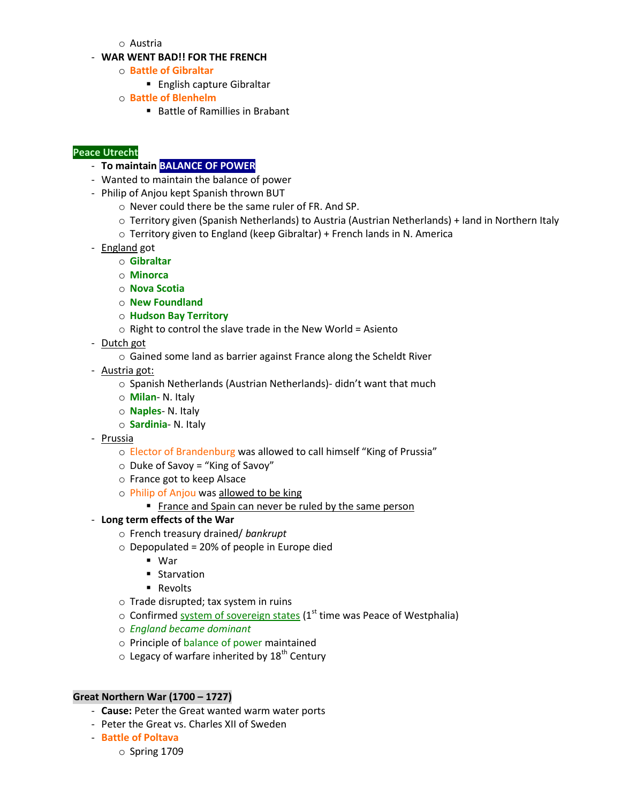o Austria

#### - **WAR WENT BAD!! FOR THE FRENCH**

- o **Battle of Gibraltar** 
	- English capture Gibraltar
- o **Battle of Blenhelm**
	- Battle of Ramillies in Brabant

#### **Peace Utrecht**

- **To maintain BALANCE OF POWER**
- Wanted to maintain the balance of power
- Philip of Anjou kept Spanish thrown BUT
	- o Never could there be the same ruler of FR. And SP.
	- o Territory given (Spanish Netherlands) to Austria (Austrian Netherlands) + land in Northern Italy
	- o Territory given to England (keep Gibraltar) + French lands in N. America
- England got
	- o **Gibraltar**
	- o **Minorca**
	- o **Nova Scotia**
	- o **New Foundland**
	- o **Hudson Bay Territory**
	- $\circ$  Right to control the slave trade in the New World = Asiento
- Dutch got
	- o Gained some land as barrier against France along the Scheldt River
- Austria got:
	- o Spanish Netherlands (Austrian Netherlands)- didn't want that much
	- o **Milan** N. Italy
	- o **Naples** N. Italy
	- o **Sardinia** N. Italy
- Prussia
	- o Elector of Brandenburg was allowed to call himself "King of Prussia"
	- $\circ$  Duke of Savoy = "King of Savoy"
	- o France got to keep Alsace
	- o Philip of Anjou was allowed to be king
		- France and Spain can never be ruled by the same person
- **Long term effects of the War**
	- o French treasury drained/ *bankrupt*
	- $\circ$  Depopulated = 20% of people in Europe died
		- War
		- **Starvation**
		- **Revolts**
	- o Trade disrupted; tax system in ruins
	- $\circ$  Confirmed system of sovereign states (1st time was Peace of Westphalia)
	- o *England became dominant*
	- o Principle of balance of power maintained
	- $\circ$  Legacy of warfare inherited by 18<sup>th</sup> Century

#### **Great Northern War (1700 – 1727)**

- **Cause:** Peter the Great wanted warm water ports
- Peter the Great vs. Charles XII of Sweden
- **Battle of Poltava** 
	- o Spring 1709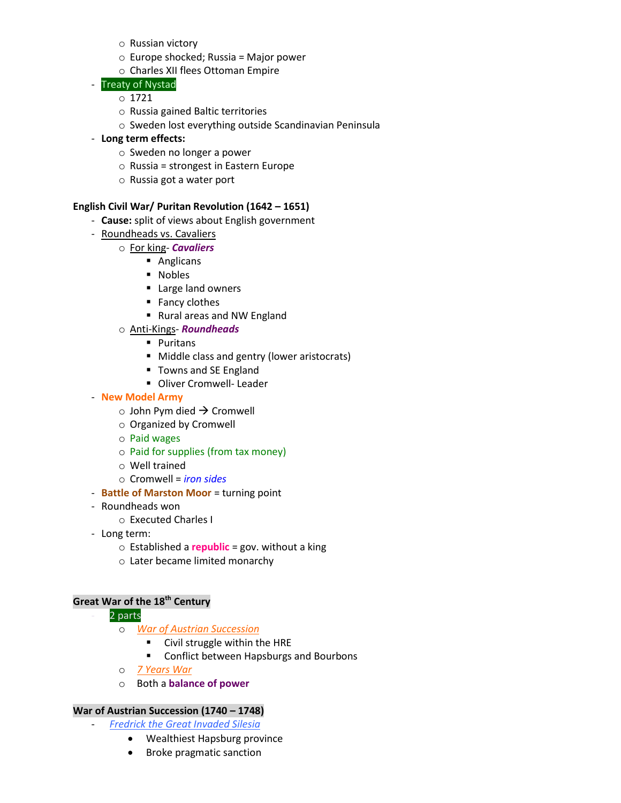- o Russian victory
- o Europe shocked; Russia = Major power
- o Charles XII flees Ottoman Empire

# Treaty of Nystad

- o 1721
- o Russia gained Baltic territories
- o Sweden lost everything outside Scandinavian Peninsula
- **Long term effects:**
	- o Sweden no longer a power
	- o Russia = strongest in Eastern Europe
	- o Russia got a water port

# **English Civil War/ Puritan Revolution (1642 – 1651)**

- **Cause:** split of views about English government
- Roundheads vs. Cavaliers
	- o For king- *Cavaliers*
		- Anglicans
		- **Nobles**
		- **Large land owners**
		- Fancy clothes
		- Rural areas and NW England
	- o Anti-Kings- *Roundheads*
		- **Puritans**
		- **Middle class and gentry (lower aristocrats)**
		- Towns and SE England
		- **Diver Cromwell-Leader**
- **New Model Army** 
	- $\circ$  John Pym died  $\rightarrow$  Cromwell
	- o Organized by Cromwell
	- o Paid wages
	- o Paid for supplies (from tax money)
	- o Well trained
	- o Cromwell = *iron sides*
- **Battle of Marston Moor** = turning point
- Roundheads won
	- o Executed Charles I
- Long term:
	- o Established a **republic** = gov. without a king
	- o Later became limited monarchy

#### **Great War of the 18th Century**

- 2 parts
	- o *War of Austrian Succession*
		- **EXECT** Civil struggle within the HRE
		- **E** Conflict between Hapsburgs and Bourbons
	- o *7 Years War*
	- o Both a **balance of power**

#### **War of Austrian Succession (1740 – 1748)**

- *Fredrick the Great Invaded Silesia*

- Wealthiest Hapsburg province
- Broke pragmatic sanction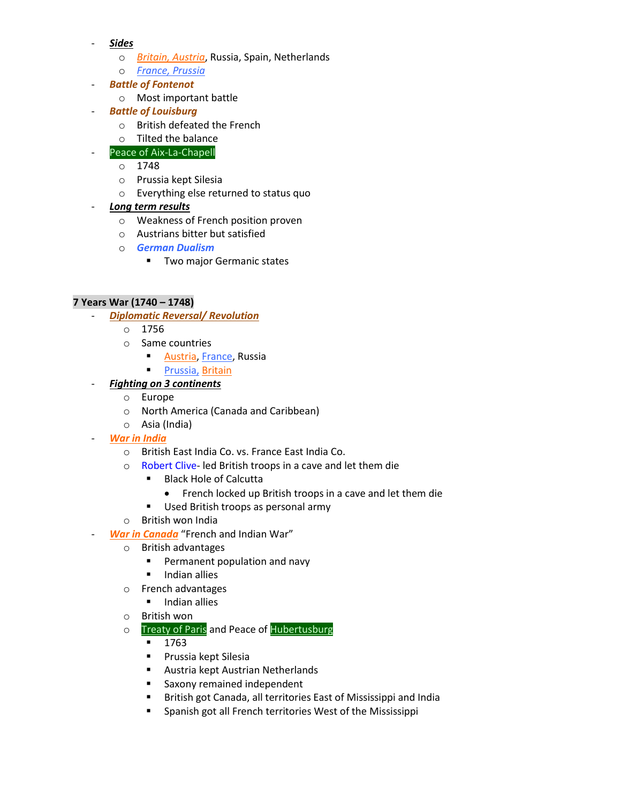- *Sides*
	- o *Britain, Austria*, Russia, Spain, Netherlands
	- o *France, Prussia*
- *Battle of Fontenot*
	- o Most important battle
- **Battle of Louisburg** 
	- o British defeated the French
	- o Tilted the balance
- Peace of Aix-La-Chapell
	- o 1748
	- o Prussia kept Silesia
	- o Everything else returned to status quo
- *Long term results*
	- o Weakness of French position proven
	- o Austrians bitter but satisfied
	- o *German Dualism* 
		- **Two major Germanic states**

# **7 Years War (1740 – 1748)**

- *Diplomatic Reversal/ Revolution*
	- $\circ$  1756
		- o Same countries
			- **Austria, France, Russia**
			- **Prussia, Britain**
- *Fighting on 3 continents*
	- o Europe
	- o North America (Canada and Caribbean)
	- o Asia (India)
- *War in India* 
	- o British East India Co. vs. France East India Co.
	- o Robert Clive- led British troops in a cave and let them die
		- Black Hole of Calcutta
			- French locked up British troops in a cave and let them die
		- Used British troops as personal army
	- o British won India
	- **War in Canada** "French and Indian War"
		- o British advantages
			- **Permanent population and navy**
			- **Indian allies**
		- o French advantages
			- **Indian allies**
		- o British won
		- o Treaty of Paris and Peace of Hubertusburg
			- $-1763$
			- **Prussia kept Silesia**
			- **Austria kept Austrian Netherlands**
			- **Saxony remained independent**
			- **British got Canada, all territories East of Mississippi and India**
			- **Spanish got all French territories West of the Mississippi**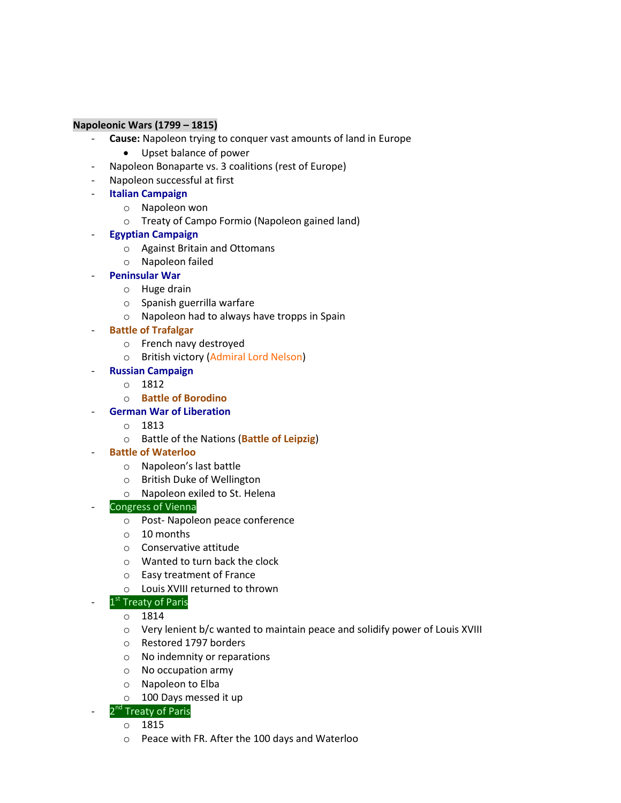#### **Napoleonic Wars (1799 – 1815)**

- Cause: Napoleon trying to conquer vast amounts of land in Europe
	- Upset balance of power
- Napoleon Bonaparte vs. 3 coalitions (rest of Europe)
- Napoleon successful at first
- **Italian Campaign** 
	- o Napoleon won
	- o Treaty of Campo Formio (Napoleon gained land)
- **Egyptian Campaign** 
	- o Against Britain and Ottomans
	- o Napoleon failed
- **Peninsular War**
	- o Huge drain
	- o Spanish guerrilla warfare
	- o Napoleon had to always have tropps in Spain
- **Battle of Trafalgar**
	- o French navy destroyed
	- o British victory (Admiral Lord Nelson)
- **Russian Campaign**
	- o 1812
	- o **Battle of Borodino**
- **German War of Liberation**
	- o 1813
	- o Battle of the Nations (**Battle of Leipzig**)
- **Battle of Waterloo**
	- o Napoleon's last battle
	- o British Duke of Wellington
	- o Napoleon exiled to St. Helena
- Congress of Vienna
	- o Post- Napoleon peace conference
	- o 10 months
	- o Conservative attitude
	- o Wanted to turn back the clock
	- o Easy treatment of France
	- o Louis XVIII returned to thrown
- 1<sup>st</sup> Treaty of Paris
	- o 1814
	- o Very lenient b/c wanted to maintain peace and solidify power of Louis XVIII
	- o Restored 1797 borders
	- o No indemnity or reparations
	- o No occupation army
	- o Napoleon to Elba
	- o 100 Days messed it up

# - 2<sup>nd</sup> Treaty of Paris

- o 1815
- o Peace with FR. After the 100 days and Waterloo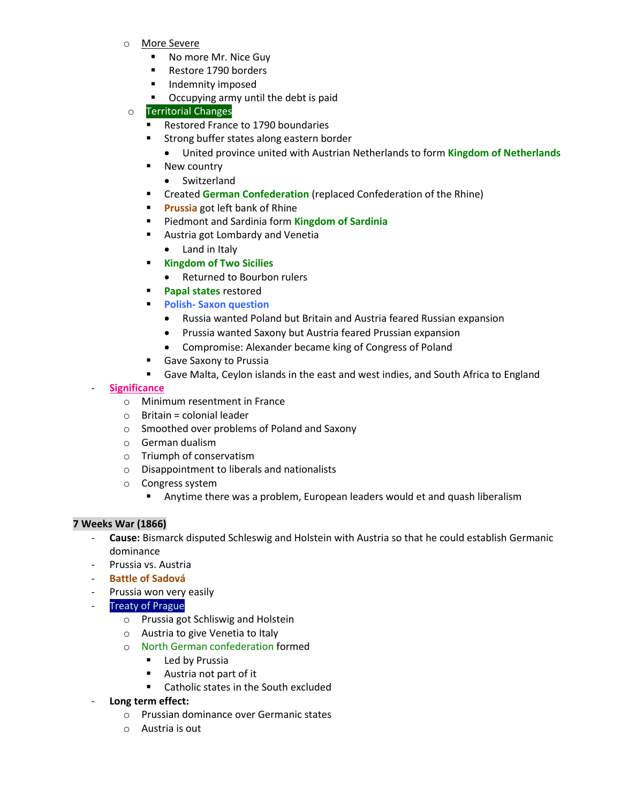- o More Severe
	- No more Mr. Nice Guy
	- Restore 1790 borders
	- **Indemnity imposed**
	- **•** Occupying army until the debt is paid

# o Territorial Changes

- Restored France to 1790 boundaries
- **Strong buffer states along eastern border** 
	- United province united with Austrian Netherlands to form **Kingdom of Netherlands**
- New country
	- Switzerland
- **EXP** Created German Confederation (replaced Confederation of the Rhine)
- **Prussia** got left bank of Rhine
- Piedmont and Sardinia form **Kingdom of Sardinia**
- **Austria got Lombardy and Venetia** 
	- Land in Italy
- **Kingdom of Two Sicilies** 
	- Returned to Bourbon rulers
- **Papal states** restored
- **Polish- Saxon question** 
	- Russia wanted Poland but Britain and Austria feared Russian expansion
	- Prussia wanted Saxony but Austria feared Prussian expansion
	- Compromise: Alexander became king of Congress of Poland
- **Gave Saxony to Prussia**
- Gave Malta, Ceylon islands in the east and west indies, and South Africa to England

#### - **Significance**

- o Minimum resentment in France
- $\circ$  Britain = colonial leader
- o Smoothed over problems of Poland and Saxony
- o German dualism
- o Triumph of conservatism
- o Disappointment to liberals and nationalists
- o Congress system
	- Anytime there was a problem, European leaders would et and quash liberalism

#### **7 Weeks War (1866)**

- **Cause:** Bismarck disputed Schleswig and Holstein with Austria so that he could establish Germanic dominance
- Prussia vs. Austria
- **Battle of Sadová**
- Prussia won very easily
- **Treaty of Prague** 
	- o Prussia got Schliswig and Holstein
	- o Austria to give Venetia to Italy
	- o North German confederation formed
		- **Led by Prussia**
		- Austria not part of it
		- Catholic states in the South excluded
- **Long term effect:**
	- o Prussian dominance over Germanic states
	- o Austria is out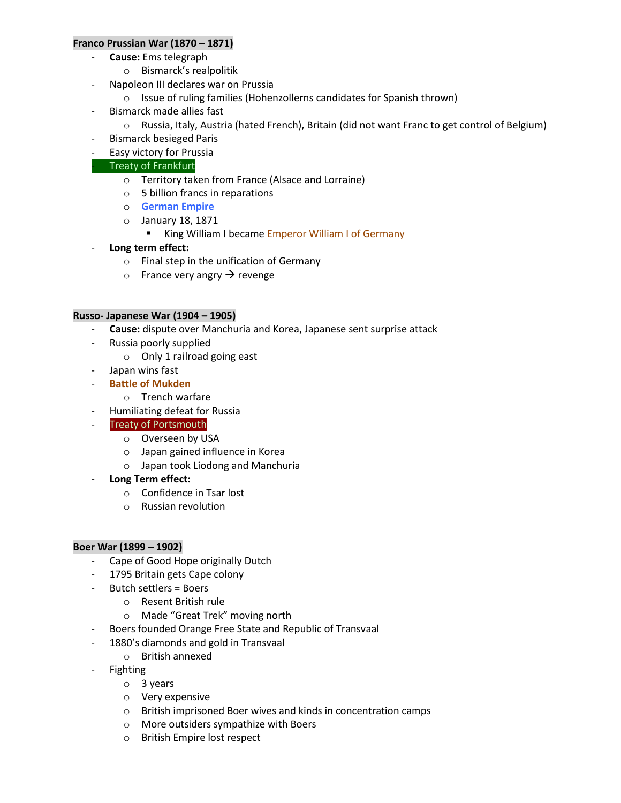#### **Franco Prussian War (1870 – 1871)**

- **Cause:** Ems telegraph
	- o Bismarck's realpolitik
- Napoleon III declares war on Prussia
	- o Issue of ruling families (Hohenzollerns candidates for Spanish thrown)
- Bismarck made allies fast
	- o Russia, Italy, Austria (hated French), Britain (did not want Franc to get control of Belgium)
- Bismarck besieged Paris
- Easy victory for Prussia

# - Treaty of Frankfurt

- o Territory taken from France (Alsace and Lorraine)
- o 5 billion francs in reparations
- o **German Empire**
- o January 18, 1871
	- King William I became Emperor William I of Germany
- **Long term effect:**
	- o Final step in the unification of Germany
	- $\circ$  France very angry  $\rightarrow$  revenge

#### **Russo- Japanese War (1904 – 1905)**

- **Cause:** dispute over Manchuria and Korea, Japanese sent surprise attack
- Russia poorly supplied
	- o Only 1 railroad going east
- Japan wins fast
- **Battle of Mukden** 
	- o Trench warfare
- Humiliating defeat for Russia
- Treaty of Portsmouth
	- o Overseen by USA
	- o Japan gained influence in Korea
	- o Japan took Liodong and Manchuria
- **Long Term effect:**
	- o Confidence in Tsar lost
	- o Russian revolution

#### **Boer War (1899 – 1902)**

- Cape of Good Hope originally Dutch
- 1795 Britain gets Cape colony
- Butch settlers = Boers
	- o Resent British rule
	- o Made "Great Trek" moving north
- Boers founded Orange Free State and Republic of Transvaal
- 1880's diamonds and gold in Transvaal
	- o British annexed
- Fighting
	- o 3 years
	- o Very expensive
	- o British imprisoned Boer wives and kinds in concentration camps
	- o More outsiders sympathize with Boers
	- o British Empire lost respect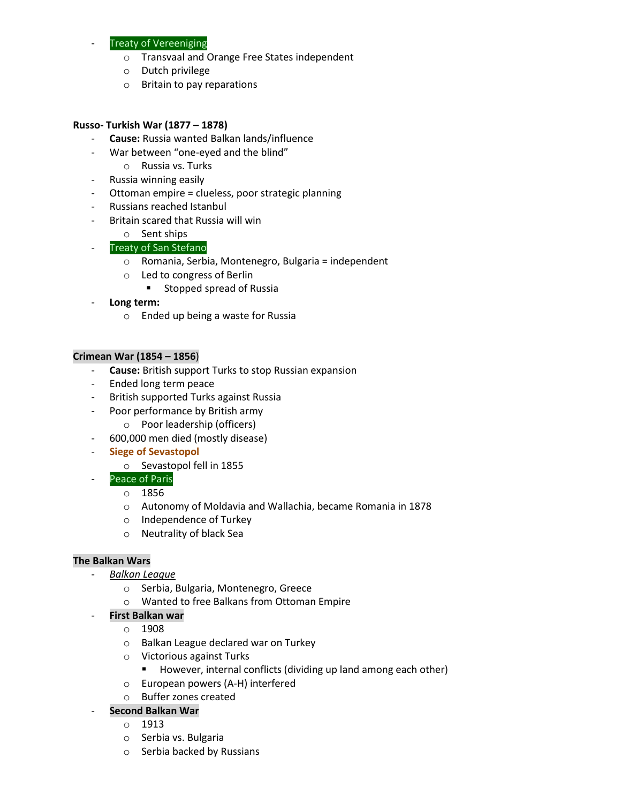# **Treaty of Vereeniging**

- o Transvaal and Orange Free States independent
- o Dutch privilege
- o Britain to pay reparations

#### **Russo- Turkish War (1877 – 1878)**

- **Cause:** Russia wanted Balkan lands/influence
- War between "one-eyed and the blind"
	- o Russia vs. Turks
- Russia winning easily
- Ottoman empire = clueless, poor strategic planning
- Russians reached Istanbul
- Britain scared that Russia will win

# o Sent ships

# - Treaty of San Stefano

- o Romania, Serbia, Montenegro, Bulgaria = independent
- o Led to congress of Berlin
	- **Exercise Stopped spread of Russia**
- Long term:
	- o Ended up being a waste for Russia

# **Crimean War (1854 – 1856**)

- **Cause:** British support Turks to stop Russian expansion
- Ended long term peace
- British supported Turks against Russia
- Poor performance by British army
	- o Poor leadership (officers)
- 600,000 men died (mostly disease)
- **Siege of Sevastopol** 
	- o Sevastopol fell in 1855
	- Peace of Paris
		- o 1856
		- o Autonomy of Moldavia and Wallachia, became Romania in 1878
		- o Independence of Turkey
		- o Neutrality of black Sea

#### **The Balkan Wars**

- *Balkan League* 
	- o Serbia, Bulgaria, Montenegro, Greece
	- o Wanted to free Balkans from Ottoman Empire
	- **First Balkan war**
		- o 1908
		- o Balkan League declared war on Turkey
		- o Victorious against Turks
			- **However, internal conflicts (dividing up land among each other)**
		- o European powers (A-H) interfered
		- o Buffer zones created
- **Second Balkan War**
	- o 1913
	- o Serbia vs. Bulgaria
	- o Serbia backed by Russians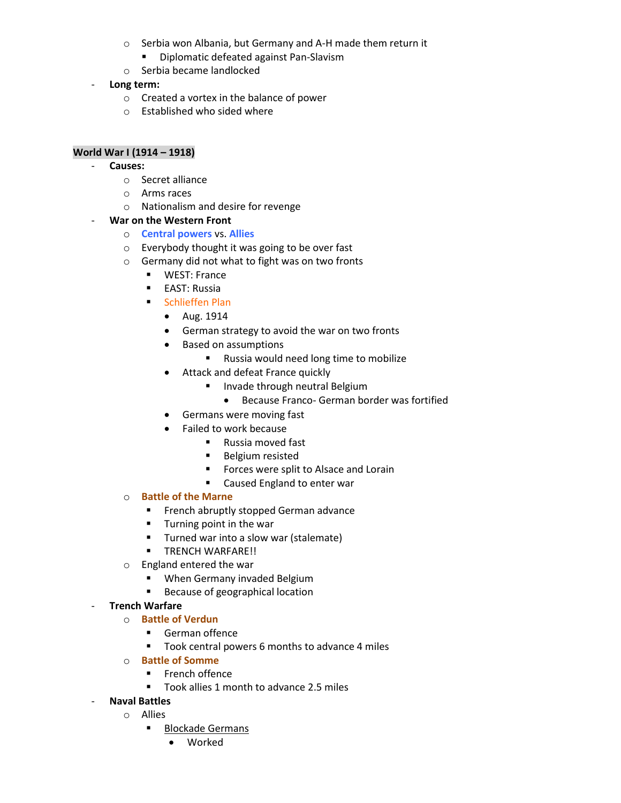- o Serbia won Albania, but Germany and A-H made them return it
	- **•** Diplomatic defeated against Pan-Slavism
- o Serbia became landlocked
- Long term:
	- o Created a vortex in the balance of power
	- o Established who sided where

# **World War I (1914 – 1918)**

- **Causes:**
	- o Secret alliance
	- o Arms races
	- o Nationalism and desire for revenge

#### - **War on the Western Front**

- o **Central powers** vs. **Allies**
- o Everybody thought it was going to be over fast
- o Germany did not what to fight was on two fronts
	- **UPILARY WEST: France**
	- **EAST: Russia**
	- **Schlieffen Plan** 
		- Aug. 1914
		- German strategy to avoid the war on two fronts
		- Based on assumptions
			- **Russia would need long time to mobilize**
		- Attack and defeat France quickly
			- **Invade through neutral Belgium** 
				- Because Franco- German border was fortified
		- Germans were moving fast
		- Failed to work because
			- Russia moved fast
			- **Belgium resisted**
			- **Forces were split to Alsace and Lorain**
			- **EXEC** Caused England to enter war

#### o **Battle of the Marne**

- **French abruptly stopped German advance**
- **Turning point in the war**
- **Turned war into a slow war (stalemate)**
- **F** TRENCH WARFARE!!
- o England entered the war
	- **When Germany invaded Belgium**
	- **Because of geographical location**

#### - **Trench Warfare**

- o **Battle of Verdun**
	- **German offence**
	- Took central powers 6 months to advance 4 miles
- o **Battle of Somme**
	- **French offence**
	- Took allies 1 month to advance 2.5 miles
- **Naval Battles**
	- o Allies
		- Blockade Germans
			- Worked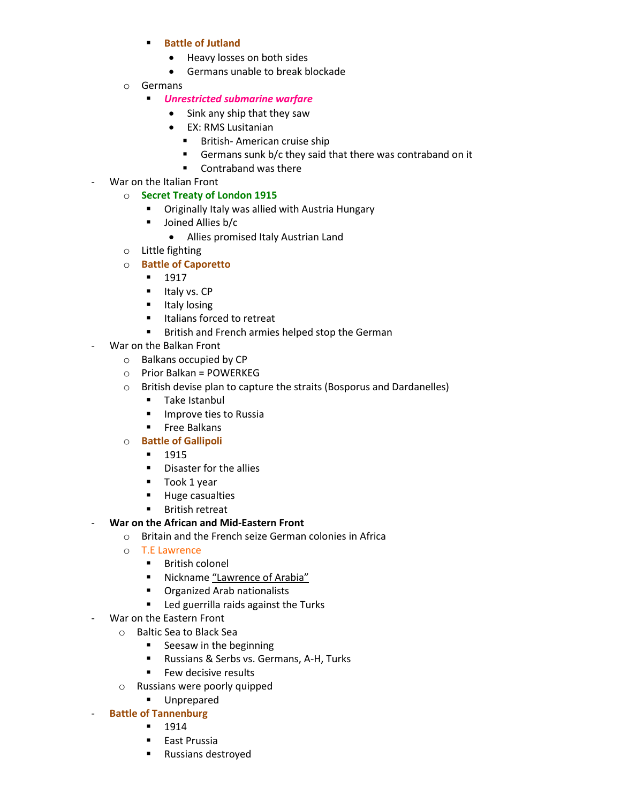- **Battle of Jutland**
	- Heavy losses on both sides
	- Germans unable to break blockade
- o Germans
	- *Unrestricted submarine warfare*
		- Sink any ship that they saw
		- EX: RMS Lusitanian
			- **British-American cruise ship**
			- Germans sunk b/c they said that there was contraband on it
			- Contraband was there
- War on the Italian Front
	- o **Secret Treaty of London 1915**
		- **•** Originally Italy was allied with Austria Hungary
		- **Joined Allies b/c** 
			- Allies promised Italy Austrian Land
	- o Little fighting
	- o **Battle of Caporetto**
		- $-1917$
		- $I$  Italy vs.  $CP$
		- **Italy losing**
		- **Indians forced to retreat**
		- British and French armies helped stop the German
- War on the Balkan Front
	- o Balkans occupied by CP
	- o Prior Balkan = POWERKEG
	- o British devise plan to capture the straits (Bosporus and Dardanelles)
		- **Take Istanbul**
		- **Improve ties to Russia**
		- **Free Balkans**
	- o **Battle of Gallipoli** 
		- 1915
		- **•** Disaster for the allies
		- Took 1 year
		- **Huge casualties**
		- **British retreat**
- **War on the African and Mid-Eastern Front**
	- o Britain and the French seize German colonies in Africa
	- o T.E Lawrence
		- **British colonel**
		- Nickname "Lawrence of Arabia"
		- **•** Organized Arab nationalists
		- Led guerrilla raids against the Turks
- War on the Eastern Front
	- o Baltic Sea to Black Sea
		- **Seesaw in the beginning**
		- Russians & Serbs vs. Germans, A-H, Turks
		- **Few decisive results**
	- o Russians were poorly quipped
		- **Unprepared**
- **Battle of Tannenburg** 
	- 1914
	- **East Prussia**
	- **Russians destroyed**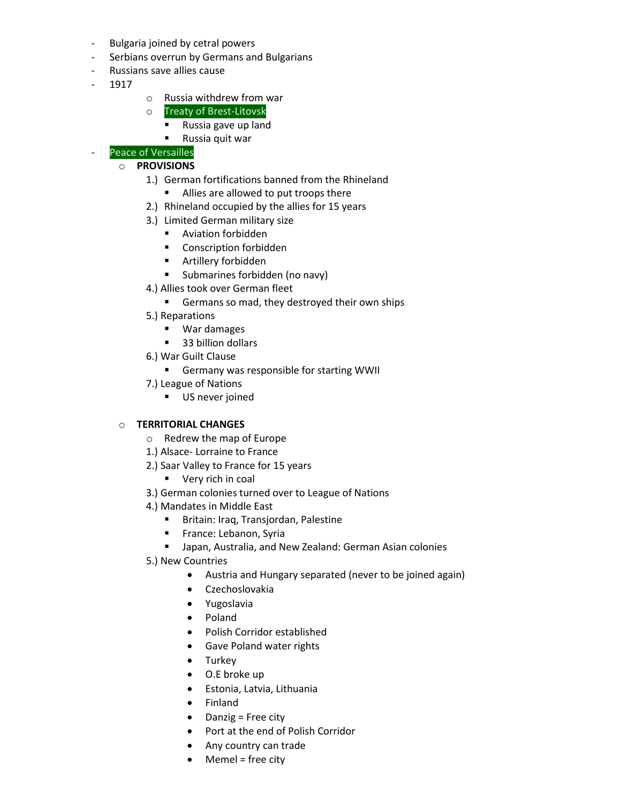- Bulgaria joined by cetral powers
- Serbians overrun by Germans and Bulgarians
- Russians save allies cause
- 1917
- o Russia withdrew from war
- o Treaty of Brest-Litovsk
	- Russia gave up land
	- **Russia quit war**

#### Peace of Versailles

#### o **PROVISIONS**

- 1.) German fortifications banned from the Rhineland
	- Allies are allowed to put troops there
- 2.) Rhineland occupied by the allies for 15 years
- 3.) Limited German military size
	- **Aviation forbidden**
	- **•** Conscription forbidden
	- Artillery forbidden
	- **Submarines forbidden (no navy)**
- 4.) Allies took over German fleet
	- Germans so mad, they destroyed their own ships
- 5.) Reparations
	- **War damages**
	- 33 billion dollars
- 6.) War Guilt Clause
	- Germany was responsible for starting WWII
- 7.) League of Nations
	- **US** never joined

#### o **TERRITORIAL CHANGES**

- o Redrew the map of Europe
- 1.) Alsace- Lorraine to France
- 2.) Saar Valley to France for 15 years
	- **very rich in coal**
- 3.) German colonies turned over to League of Nations
- 4.) Mandates in Middle East
	- **Britain: Iraq, Transjordan, Palestine**
	- **France: Lebanon, Syria**
	- Japan, Australia, and New Zealand: German Asian colonies
- 5.) New Countries
	- Austria and Hungary separated (never to be joined again)
	- Czechoslovakia
	- Yugoslavia
	- Poland
	- Polish Corridor established
	- **•** Gave Poland water rights
	- Turkey
	- O.E broke up
	- Estonia, Latvia, Lithuania
	- Finland
	- Danzig = Free city
	- Port at the end of Polish Corridor
	- Any country can trade
	- Memel = free city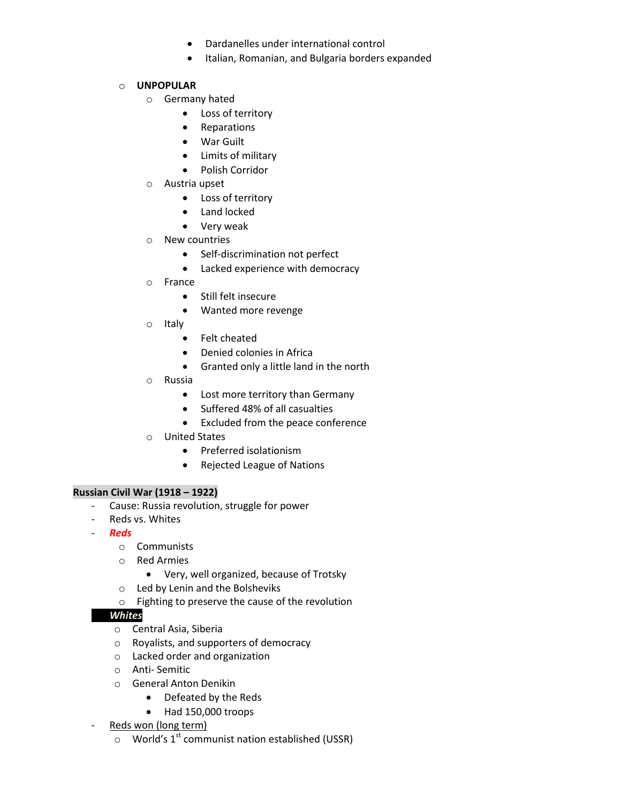- Dardanelles under international control
- Italian, Romanian, and Bulgaria borders expanded

#### o **UNPOPULAR**

- o Germany hated
	- Loss of territory
	- Reparations
	- War Guilt
	- Limits of military
	- Polish Corridor
- o Austria upset
	- Loss of territory
	- Land locked
	- Very weak
- o New countries
	- Self-discrimination not perfect
	- Lacked experience with democracy
- o France
	- Still felt insecure
	- Wanted more revenge
- o Italy
	- Felt cheated
	- Denied colonies in Africa
	- Granted only a little land in the north
- o Russia
	- Lost more territory than Germany
	- Suffered 48% of all casualties
	- Excluded from the peace conference
- o United States
	- Preferred isolationism
	- Rejected League of Nations

#### **Russian Civil War (1918 – 1922)**

- Cause: Russia revolution, struggle for power
- Reds vs. Whites
- *Reds*
	- o Communists
	- o Red Armies
		- Very, well organized, because of Trotsky
	- o Led by Lenin and the Bolsheviks
	- o Fighting to preserve the cause of the revolution

# - *Whites*

- o Central Asia, Siberia
- o Royalists, and supporters of democracy
- o Lacked order and organization
- o Anti- Semitic
- o General Anton Denikin
	- Defeated by the Reds
	- Had 150,000 troops
- Reds won (long term)
	- $\circ$  World's 1<sup>st</sup> communist nation established (USSR)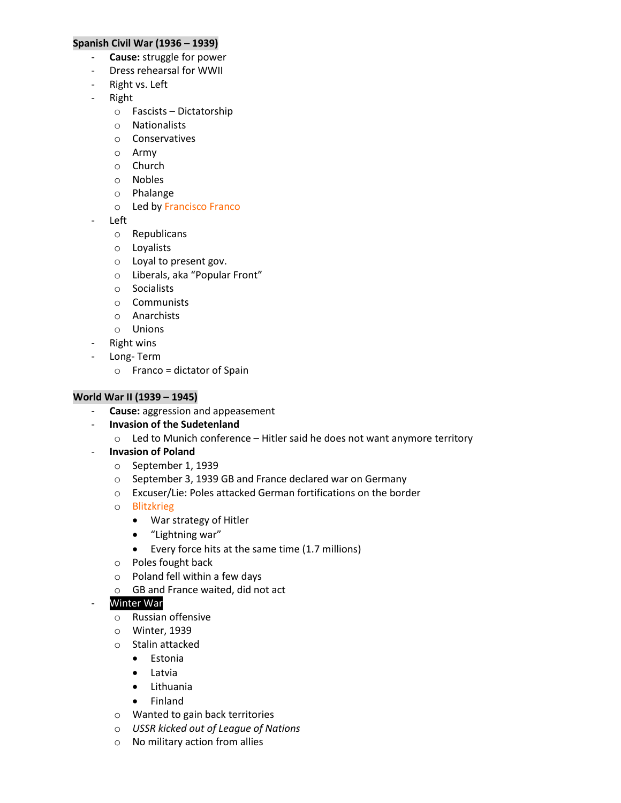#### **Spanish Civil War (1936 – 1939)**

- **Cause:** struggle for power
- Dress rehearsal for WWII
- Right vs. Left
- Right
	- o Fascists Dictatorship
	- o Nationalists
	- o Conservatives
	- o Army
	- o Church
	- o Nobles
	- o Phalange
	- o Led by Francisco Franco
- Left
	- o Republicans
	- o Loyalists
	- o Loyal to present gov.
	- o Liberals, aka "Popular Front"
	- o Socialists
	- o Communists
	- o Anarchists
	- o Unions
- Right wins
- Long- Term
	- $\circ$  Franco = dictator of Spain

#### **World War II (1939 – 1945)**

- **Cause:** aggression and appeasement
- **Invasion of the Sudetenland** 
	- o Led to Munich conference Hitler said he does not want anymore territory
- **Invasion of Poland** 
	- o September 1, 1939
	- o September 3, 1939 GB and France declared war on Germany
	- o Excuser/Lie: Poles attacked German fortifications on the border
	- o Blitzkrieg
		- War strategy of Hitler
		- "Lightning war"
		- Every force hits at the same time (1.7 millions)
	- o Poles fought back
	- o Poland fell within a few days
	- o GB and France waited, did not act

# Winter War

- o Russian offensive
- o Winter, 1939
- o Stalin attacked
	- Estonia
	- Latvia
	- Lithuania
	- Finland
- o Wanted to gain back territories
- o *USSR kicked out of League of Nations*
- o No military action from allies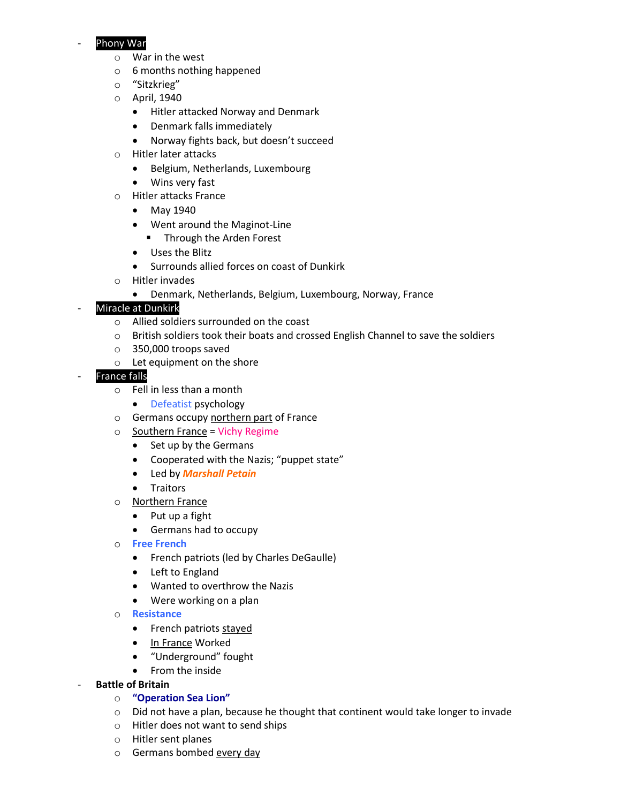# Phony War

- o War in the west
- o 6 months nothing happened
- o "Sitzkrieg"
- o April, 1940
	- Hitler attacked Norway and Denmark
	- Denmark falls immediately
	- Norway fights back, but doesn't succeed
- o Hitler later attacks
	- Belgium, Netherlands, Luxembourg
	- Wins very fast
- o Hitler attacks France
	- May 1940
	- Went around the Maginot-Line
		- **Through the Arden Forest**
	- Uses the Blitz
	- Surrounds allied forces on coast of Dunkirk
- o Hitler invades
	- Denmark, Netherlands, Belgium, Luxembourg, Norway, France

# Miracle at Dunkirk

- o Allied soldiers surrounded on the coast
- o British soldiers took their boats and crossed English Channel to save the soldiers
- o 350,000 troops saved
- o Let equipment on the shore

# **France falls**

- o Fell in less than a month
	- Defeatist psychology
- o Germans occupy northern part of France
- o Southern France = Vichy Regime
	- Set up by the Germans
	- Cooperated with the Nazis; "puppet state"
	- Led by *Marshall Petain*
	- **•** Traitors
- o Northern France
	- Put up a fight
	- Germans had to occupy
- o **Free French** 
	- French patriots (led by Charles DeGaulle)
	- Left to England
	- Wanted to overthrow the Nazis
	- Were working on a plan
- o **Resistance** 
	- French patriots stayed
	- In France Worked
	- "Underground" fought
	- From the inside
- **Battle of Britain** 
	- o **"Operation Sea Lion"**
	- $\circ$  Did not have a plan, because he thought that continent would take longer to invade
	- o Hitler does not want to send ships
	- o Hitler sent planes
	- o Germans bombed every day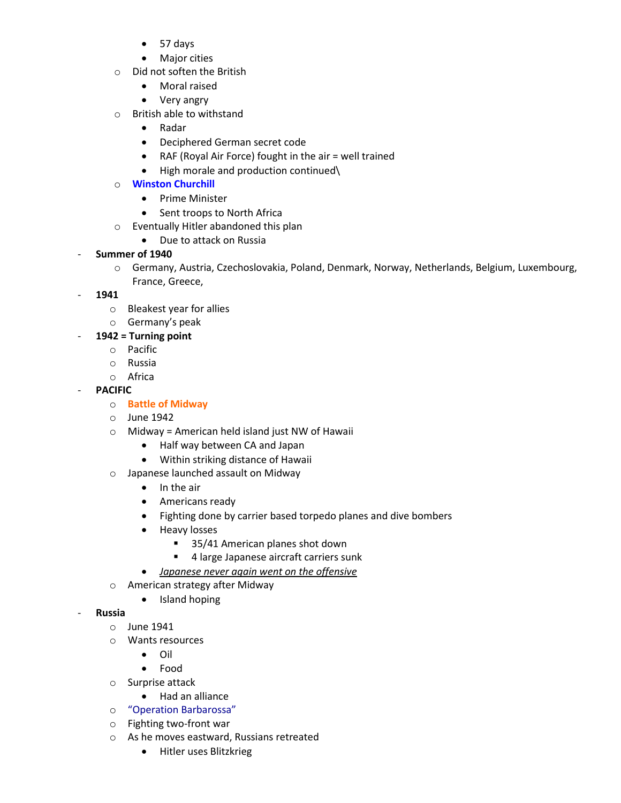- 57 days
- Major cities
- o Did not soften the British
	- Moral raised
	- Very angry
- o British able to withstand
	- Radar
	- Deciphered German secret code
	- RAF (Royal Air Force) fought in the air = well trained
	- High morale and production continued\

# o **Winston Churchill**

- Prime Minister
- Sent troops to North Africa
- o Eventually Hitler abandoned this plan
	- Due to attack on Russia

# - **Summer of 1940**

- o Germany, Austria, Czechoslovakia, Poland, Denmark, Norway, Netherlands, Belgium, Luxembourg, France, Greece,
- **1941**
	- o Bleakest year for allies
	- o Germany's peak

# - **1942 = Turning point**

- o Pacific
- o Russia
- o Africa

# - **PACIFIC**

- o **Battle of Midway**
- o June 1942
- $\circ$  Midway = American held island just NW of Hawaii
	- Half way between CA and Japan
	- Within striking distance of Hawaii
- o Japanese launched assault on Midway
	- $\bullet$  In the air
	- Americans ready
	- Fighting done by carrier based torpedo planes and dive bombers
	- Heavy losses
		- 35/41 American planes shot down
		- **4 large Japanese aircraft carriers sunk**
	- *Japanese never again went on the offensive*
- o American strategy after Midway
	- Island hoping
- **Russia** 
	- o June 1941
	- o Wants resources
		- Oil
		- Food
	- o Surprise attack
		- Had an alliance
	- o "Operation Barbarossa"
	- o Fighting two-front war
	- o As he moves eastward, Russians retreated
		- Hitler uses Blitzkrieg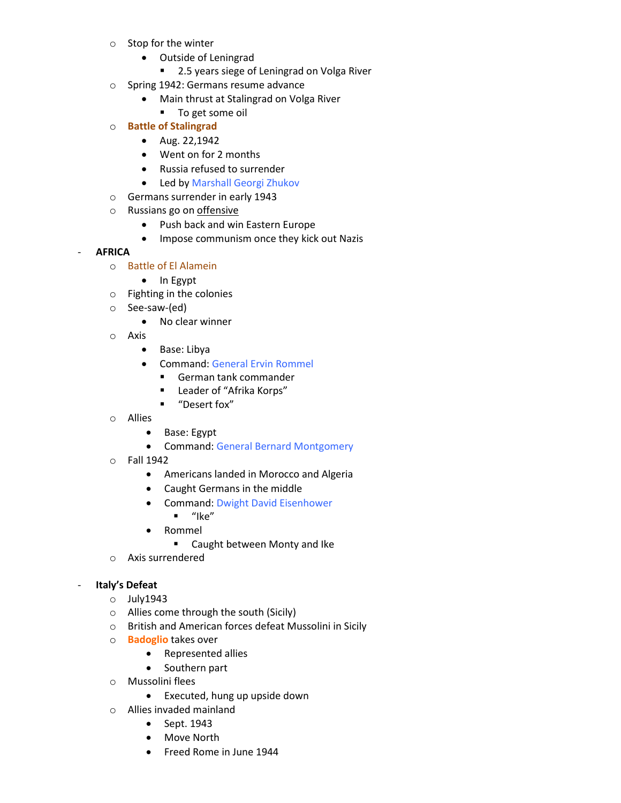- o Stop for the winter
	- Outside of Leningrad
		- 2.5 years siege of Leningrad on Volga River
- o Spring 1942: Germans resume advance
	- Main thrust at Stalingrad on Volga River
	- **To get some oil**
- o **Battle of Stalingrad**
	- Aug. 22,1942
	- Went on for 2 months
	- Russia refused to surrender
	- Led by Marshall Georgi Zhukov
- o Germans surrender in early 1943
- o Russians go on offensive
	- Push back and win Eastern Europe
	- Impose communism once they kick out Nazis

#### - **AFRICA**

- o Battle of El Alamein
	- $\bullet$  In Egypt
- o Fighting in the colonies
- o See-saw-(ed)
	- No clear winner
- o Axis
	- Base: Libya
	- Command: General Ervin Rommel
		- German tank commander
		- Leader of "Afrika Korps"
		- "Desert fox"
- o Allies
	- Base: Egypt
	- Command: General Bernard Montgomery
- o Fall 1942
	- Americans landed in Morocco and Algeria
	- Caught Germans in the middle
	- Command: Dwight David Eisenhower
	- $\blacksquare$  "Ike"
	- Rommel
		- **EXEC** Caught between Monty and Ike
- o Axis surrendered

#### - **Italy's Defeat**

- o July1943
- o Allies come through the south (Sicily)
- o British and American forces defeat Mussolini in Sicily
- o **Badoglio** takes over
	- Represented allies
	- Southern part
- o Mussolini flees
	- Executed, hung up upside down
- o Allies invaded mainland
	- Sept. 1943
	- Move North
	- Freed Rome in June 1944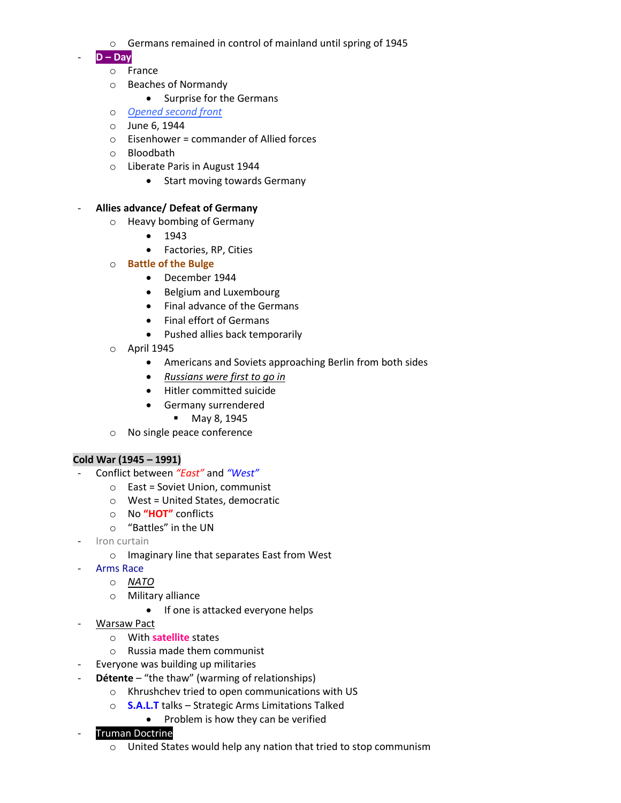- o Germans remained in control of mainland until spring of 1945
- **D – Day**
	- o France
	- o Beaches of Normandy
		- Surprise for the Germans
	- o *Opened second front*
	- o June 6, 1944
	- $\circ$  Eisenhower = commander of Allied forces
	- o Bloodbath
	- o Liberate Paris in August 1944
		- Start moving towards Germany

#### - **Allies advance/ Defeat of Germany**

- o Heavy bombing of Germany
	- $1943$
	- Factories, RP, Cities
- o **Battle of the Bulge**
	- December 1944
	- Belgium and Luxembourg
	- Final advance of the Germans
	- Final effort of Germans
	- Pushed allies back temporarily
- o April 1945
	- Americans and Soviets approaching Berlin from both sides
	- *Russians were first to go in*
	- Hitler committed suicide
	- Germany surrendered
		- **May 8, 1945**
- o No single peace conference

#### **Cold War (1945 – 1991)**

- Conflict between *"East"* and *"West"*
	- o East = Soviet Union, communist
	- o West = United States, democratic
	- o No **"HOT"** conflicts
	- o "Battles" in the UN
- Iron curtain
	- o Imaginary line that separates East from West
- Arms Race
	- o *NATO*
		- o Military alliance
			- If one is attacked everyone helps
- Warsaw Pact
	- o With **satellite** states
	- o Russia made them communist
	- Everyone was building up militaries
- Détente "the thaw" (warming of relationships)
	- o Khrushchev tried to open communications with US
	- o **S.A.L.T** talks Strategic Arms Limitations Talked
		- Problem is how they can be verified

# **Truman Doctrine**

o United States would help any nation that tried to stop communism